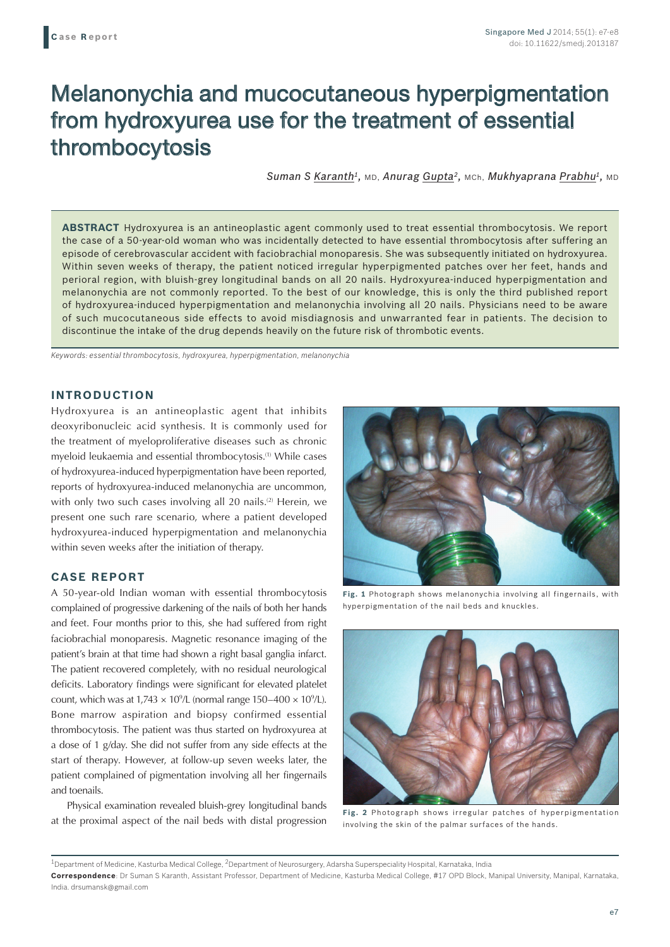# Melanonychia and mucocutaneous hyperpigmentation from hydroxyurea use for the treatment of essential thrombocytosis

*Suman S Karanth1,* MD, *Anurag Gupta2,* MCh, *Mukhyaprana Prabhu1,* MD

**ABSTRACT** Hydroxyurea is an antineoplastic agent commonly used to treat essential thrombocytosis. We report the case of a 50-year-old woman who was incidentally detected to have essential thrombocytosis after suffering an episode of cerebrovascular accident with faciobrachial monoparesis. She was subsequently initiated on hydroxyurea. Within seven weeks of therapy, the patient noticed irregular hyperpigmented patches over her feet, hands and perioral region, with bluish-grey longitudinal bands on all 20 nails. Hydroxyurea-induced hyperpigmentation and melanonychia are not commonly reported. To the best of our knowledge, this is only the third published report of hydroxyurea-induced hyperpigmentation and melanonychia involving all 20 nails. Physicians need to be aware of such mucocutaneous side effects to avoid misdiagnosis and unwarranted fear in patients. The decision to discontinue the intake of the drug depends heavily on the future risk of thrombotic events.

*Keywords: essential thrombocytosis, hydroxyurea, hyperpigmentation, melanonychia*

# **INTRODUCTION**

Hydroxyurea is an antineoplastic agent that inhibits deoxyribonucleic acid synthesis. It is commonly used for the treatment of myeloproliferative diseases such as chronic myeloid leukaemia and essential thrombocytosis.(1) While cases of hydroxyurea-induced hyperpigmentation have been reported, reports of hydroxyurea-induced melanonychia are uncommon, with only two such cases involving all 20 nails.<sup>(2)</sup> Herein, we present one such rare scenario, where a patient developed hydroxyurea-induced hyperpigmentation and melanonychia within seven weeks after the initiation of therapy.

### **CASE REPORT**

A 50-year-old Indian woman with essential thrombocytosis complained of progressive darkening of the nails of both her hands and feet. Four months prior to this, she had suffered from right faciobrachial monoparesis. Magnetic resonance imaging of the patient's brain at that time had shown a right basal ganglia infarct. The patient recovered completely, with no residual neurological deficits. Laboratory findings were significant for elevated platelet count, which was at  $1,743 \times 10^9$ /L (normal range  $150-400 \times 10^9$ /L). Bone marrow aspiration and biopsy confirmed essential thrombocytosis. The patient was thus started on hydroxyurea at a dose of 1 g/day. She did not suffer from any side effects at the start of therapy. However, at follow-up seven weeks later, the patient complained of pigmentation involving all her fingernails and toenails.

Physical examination revealed bluish-grey longitudinal bands at the proximal aspect of the nail beds with distal progression



**Fig. 1** Photograph shows melanonychia involving all fingernails, with hyperpigmentation of the nail beds and knuckles.



**Fig. 2** Photograph shows irregular patches of hyperpigmentation involving the skin of the palmar surfaces of the hands.

<sup>&</sup>lt;sup>1</sup>Department of Medicine, Kasturba Medical College, <sup>2</sup>Department of Neurosurgery, Adarsha Superspeciality Hospital, Karnataka, India **Correspondence**: Dr Suman S Karanth, Assistant Professor, Department of Medicine, Kasturba Medical College, #17 OPD Block, Manipal University, Manipal, Karnataka, India. drsumansk@gmail.com